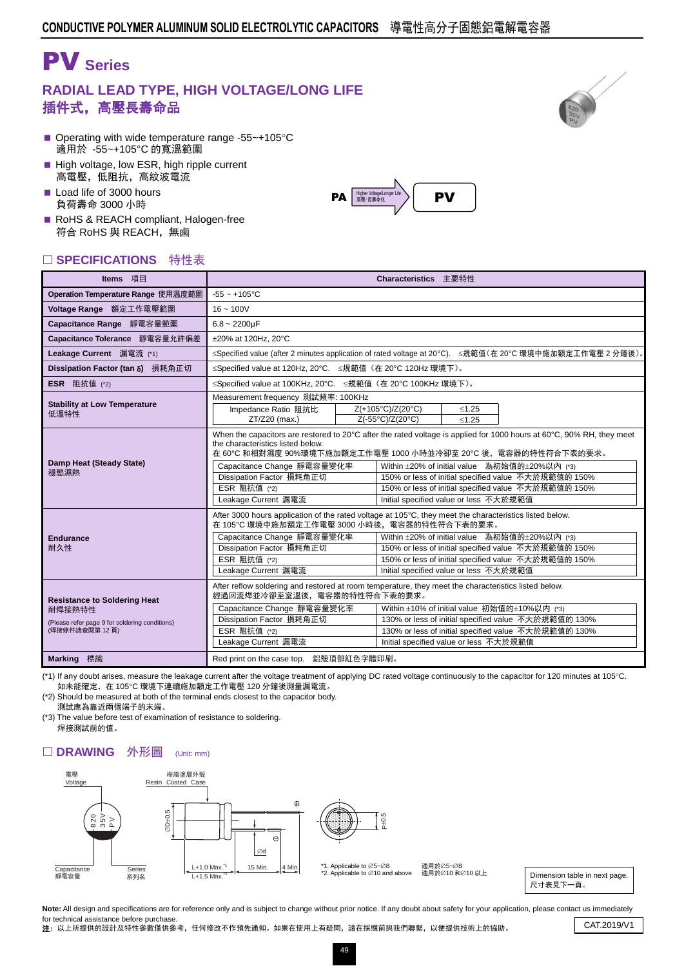# PV **Series**

### **RADIAL LEAD TYPE, HIGH VOLTAGE/LONG LIFE** 插件式,高壓長壽命品

- Operating with wide temperature range -55 $\sim$ +105 $\degree$ C 適用於 -55~+105°C 的寬溫範圍
- High voltage, low ESR, high ripple current 高電壓,低阻抗,高紋波電流
- Load life of 3000 hours 負荷壽命 3000 小時
- RoHS & REACH compliant, Halogen-free 符合 RoHS 與 REACH,無鹵

### □ SPECIFICATIONS 特性表

| Operation Temperature Range 使用温度範圍<br>Voltage Range 額定工作電壓範圍<br>Capacitance Range 靜電容量範圍                                                                                        | $-55 - +105$ °C<br>$16 - 100V$<br>$6.8 - 2200 \mu F$<br>±20% at 120Hz. 20°C                                                                                                                                                                                                                                                                                                                                                                    |                                                                                                                                                                                                                                                                                                                                                                                                                     |  |                                                                                                                                                               |  |  |  |  |  |  |  |  |
|---------------------------------------------------------------------------------------------------------------------------------------------------------------------------------|------------------------------------------------------------------------------------------------------------------------------------------------------------------------------------------------------------------------------------------------------------------------------------------------------------------------------------------------------------------------------------------------------------------------------------------------|---------------------------------------------------------------------------------------------------------------------------------------------------------------------------------------------------------------------------------------------------------------------------------------------------------------------------------------------------------------------------------------------------------------------|--|---------------------------------------------------------------------------------------------------------------------------------------------------------------|--|--|--|--|--|--|--|--|
|                                                                                                                                                                                 |                                                                                                                                                                                                                                                                                                                                                                                                                                                |                                                                                                                                                                                                                                                                                                                                                                                                                     |  |                                                                                                                                                               |  |  |  |  |  |  |  |  |
|                                                                                                                                                                                 |                                                                                                                                                                                                                                                                                                                                                                                                                                                |                                                                                                                                                                                                                                                                                                                                                                                                                     |  |                                                                                                                                                               |  |  |  |  |  |  |  |  |
|                                                                                                                                                                                 |                                                                                                                                                                                                                                                                                                                                                                                                                                                |                                                                                                                                                                                                                                                                                                                                                                                                                     |  |                                                                                                                                                               |  |  |  |  |  |  |  |  |
| Capacitance Tolerance 靜電容量允許偏差                                                                                                                                                  |                                                                                                                                                                                                                                                                                                                                                                                                                                                |                                                                                                                                                                                                                                                                                                                                                                                                                     |  |                                                                                                                                                               |  |  |  |  |  |  |  |  |
| Leakage Current 漏電流 (*1)                                                                                                                                                        | ≤Specified value (after 2 minutes application of rated voltage at 20°C). ≤規範值(在 20°C 環境中施加額定工作電壓 2 分鐘後)。                                                                                                                                                                                                                                                                                                                                       |                                                                                                                                                                                                                                                                                                                                                                                                                     |  |                                                                                                                                                               |  |  |  |  |  |  |  |  |
| Dissipation Factor (tan δ) 損耗角正切                                                                                                                                                | ≤Specified value at 120Hz, 20°C. ≤規範值 (在 20°C 120Hz 環境下)。                                                                                                                                                                                                                                                                                                                                                                                      |                                                                                                                                                                                                                                                                                                                                                                                                                     |  |                                                                                                                                                               |  |  |  |  |  |  |  |  |
| <b>ESR</b> 阻抗值 (*2)                                                                                                                                                             | ≤Specified value at 100KHz, 20°C. ≤規範值 (在 20°C 100KHz 環境下)。                                                                                                                                                                                                                                                                                                                                                                                    |                                                                                                                                                                                                                                                                                                                                                                                                                     |  |                                                                                                                                                               |  |  |  |  |  |  |  |  |
| <b>Stability at Low Temperature</b><br>低溫特性                                                                                                                                     | Measurement frequency 測試頻率: 100KHz<br>Z(+105°C)/Z(20°C)<br>Impedance Ratio 阻抗比<br>Z(-55°C)/Z(20°C)<br>ZT/Z20 (max.)                                                                                                                                                                                                                                                                                                                            | $≤1.25$<br>< 1.25                                                                                                                                                                                                                                                                                                                                                                                                   |  |                                                                                                                                                               |  |  |  |  |  |  |  |  |
| Damp Heat (Steady State)<br>穩態濕熱                                                                                                                                                | the characteristics listed below.<br>Capacitance Change 靜電容量變化率<br>Dissipation Factor 損耗角正切<br>ESR 阻抗值 (*2)<br>Leakage Current 漏電流                                                                                                                                                                                                                                                                                                             | When the capacitors are restored to 20 $\degree$ C after the rated voltage is applied for 1000 hours at 60 $\degree$ C, 90% RH, they meet<br>在 60℃ 和相對濕度 90%環境下施加額定工作電壓 1000 小時並冷卻至 20℃ 後,電容器的特性符合下表的要求。<br>Within ±20% of initial value 為初始值的±20%以內 (*3)<br>150% or less of initial specified value 不大於規範值的 150%<br>150% or less of initial specified value 不大於規範值的 150%<br>Initial specified value or less 不大於規範值 |  |                                                                                                                                                               |  |  |  |  |  |  |  |  |
| <b>Endurance</b><br>耐久性                                                                                                                                                         | After 3000 hours application of the rated voltage at 105°C, they meet the characteristics listed below.<br>在 105℃ 環境中施加額定工作電壓 3000 小時後, 電容器的特性符合下表的要求。<br>Capacitance Change 靜電容量變化率<br>Dissipation Factor 損耗角正切<br>ESR 阻抗值 (*2)<br>Leakage Current 漏電流                                                                                                                                                                                        | Initial specified value or less 不大於規範值                                                                                                                                                                                                                                                                                                                                                                              |  | Within ±20% of initial value 為初始值的±20%以內 (*3)<br>150% or less of initial specified value 不大於規範值的 150%<br>150% or less of initial specified value 不大於規範值的 150% |  |  |  |  |  |  |  |  |
| <b>Resistance to Soldering Heat</b><br>耐焊接熱特性<br>(Please refer page 9 for soldering conditions)<br>(焊接條件請查閱第12頁)<br><b>Marking</b> 標識<br>Red print on the case top. 鋁殼頂部紅色字體印刷。 | After reflow soldering and restored at room temperature, they meet the characteristics listed below.<br>經過回流焊並冷卻至室溫後,電容器的特性符合下表的要求。<br>Within ±10% of initial value 初始值的±10%以内 (*3)<br>Capacitance Change 靜電容量變化率<br>Dissipation Factor 損耗角正切<br>130% or less of initial specified value 不大於規範值的 130%<br>ESR 阻抗值 (*2)<br>130% or less of initial specified value 不大於規範值的 130%<br>Leakage Current 漏電流<br>Initial specified value or less 不大於規範值 |                                                                                                                                                                                                                                                                                                                                                                                                                     |  |                                                                                                                                                               |  |  |  |  |  |  |  |  |

(\*1) If any doubt arises, measure the leakage current after the voltage treatment of applying DC rated voltage continuously to the capacitor for 120 minutes at 105°C. 如未能確定,在 105℃ 環境下連續施加額定工作電壓 120 分鐘後測量漏電流。

(\*2) Should be measured at both of the terminal ends closest to the capacitor body. 測試應為靠近兩個端子的末端。

(\*3) The value before test of examination of resistance to soldering. 焊接測試前的值。

#### □ DRAWING 外形圖 (Unit: mm)



\*2. Applicable to  $\varnothing$ 10 and above

適用於∅5~Ø8 過用於⊘5~©0<br>適用於⊘10 和∅10 以上

Dimension table in next page. 尺寸表見下一頁。

Note: All design and specifications are for reference only and is subject to change without prior notice. If any doubt about safety for your application, please contact us immediately for technical assistance before purchase.

Tor technical assistance before purchase.<br>2: 以上所提供的設計及特性參數僅供參考,任何修改不作預先通知。如果在使用上有疑問,請在採購前與我們聯繫,以便提供技術上的協助。 CAT.2019/V1



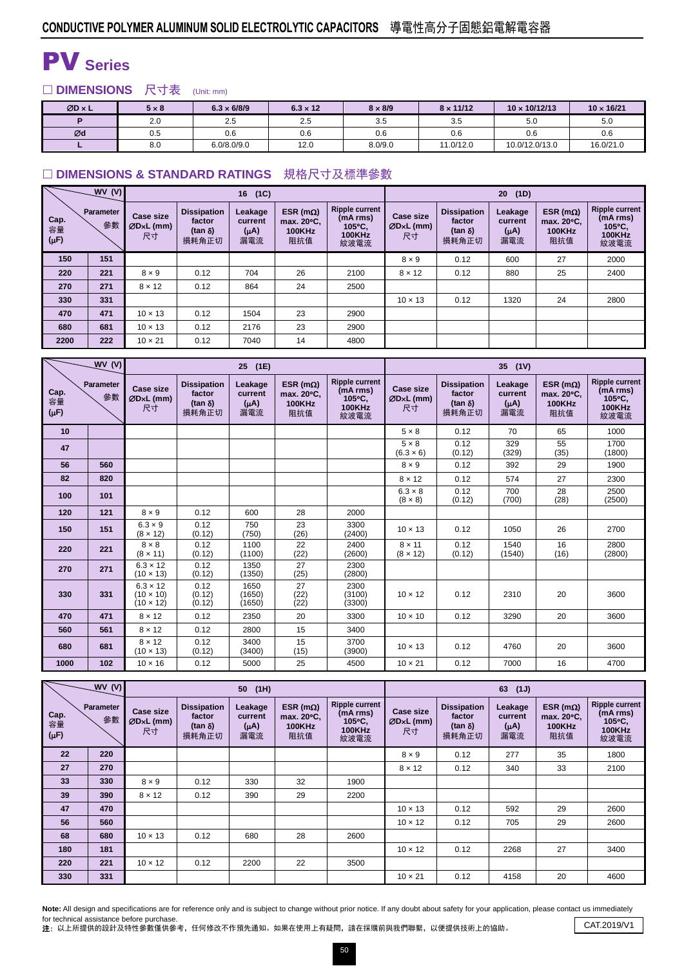## PV **Series**

□ DIMENSIONS 尺寸表 (Unit: mm)

| $ØD \times L$ | $5 \times 8$ | $6.3 \times 6/8/9$ | $6.3 \times 12$ |         | $8 \times 11/12$ | $10 \times 10/12/13$ | $10 \times 16/21$ |
|---------------|--------------|--------------------|-----------------|---------|------------------|----------------------|-------------------|
|               | 2.0          | 2.5                | 2.5             | 3.5     | 3.5              | 5.0                  | 5.0               |
| Ød            | 0.5          | 0.6                | 0.6             | 0.6     | 0.6              | 0.6                  | 0.6               |
|               | 8.0          | 6.0/8.0/9.0        | 12.0            | 8.0/9.0 | 11.0/12.0        | 10.0/12.0/13.0       | 16.0/21.0         |

#### □ DIMENSIONS & STANDARD RATINGS 規格尺寸及標準參數

|                         | WV(V)                  |                                |                                                          | (1C)<br>16                             |                                                         |                                                                      | (1D)<br>20                            |                                                          |                                        |                                                         |                                                                      |  |
|-------------------------|------------------------|--------------------------------|----------------------------------------------------------|----------------------------------------|---------------------------------------------------------|----------------------------------------------------------------------|---------------------------------------|----------------------------------------------------------|----------------------------------------|---------------------------------------------------------|----------------------------------------------------------------------|--|
| Cap.<br>容量<br>$(\mu F)$ | <b>Parameter</b><br>參數 | Case size<br>$ØDxL$ (mm)<br>尺寸 | <b>Dissipation</b><br>factor<br>$(\tan \delta)$<br>損耗角正切 | Leakage<br>current<br>$(\mu A)$<br>漏電流 | ESR (m $\Omega$ )<br>max. 20°C.<br><b>100KHz</b><br>阻抗值 | <b>Ripple current</b><br>(mA rms)<br>105°C,<br><b>100KHz</b><br>紋波電流 | <b>Case size</b><br>$ØDxL$ (mm)<br>尺寸 | <b>Dissipation</b><br>factor<br>$(\tan \delta)$<br>損耗角正切 | Leakage<br>current<br>$(\mu A)$<br>漏電流 | ESR ( $m\Omega$ )<br>max. 20°C,<br><b>100KHz</b><br>阻抗值 | <b>Ripple current</b><br>(mA rms)<br>105°C.<br><b>100KHz</b><br>紋波電流 |  |
| 150                     | 151                    |                                |                                                          |                                        |                                                         |                                                                      | $8 \times 9$                          | 0.12                                                     | 600                                    | 27                                                      | 2000                                                                 |  |
| 220                     | 221                    | $8 \times 9$                   | 0.12                                                     | 704                                    | 26                                                      | 2100                                                                 | $8 \times 12$                         | 0.12                                                     | 880                                    | 25                                                      | 2400                                                                 |  |
| 270                     | 271                    | $8 \times 12$                  | 0.12                                                     | 864                                    | 24                                                      | 2500                                                                 |                                       |                                                          |                                        |                                                         |                                                                      |  |
| 330                     | 331                    |                                |                                                          |                                        |                                                         |                                                                      | $10 \times 13$                        | 0.12                                                     | 1320                                   | 24                                                      | 2800                                                                 |  |
| 470                     | 471                    | $10 \times 13$                 | 0.12                                                     | 1504                                   | 23                                                      | 2900                                                                 |                                       |                                                          |                                        |                                                         |                                                                      |  |
| 680                     | 681                    | $10 \times 13$                 | 0.12                                                     | 2176                                   | 23                                                      | 2900                                                                 |                                       |                                                          |                                        |                                                         |                                                                      |  |
| 2200                    | 222                    | $10 \times 21$                 | 0.12                                                     | 7040                                   | 14                                                      | 4800                                                                 |                                       |                                                          |                                        |                                                         |                                                                      |  |

|                         | WV(V)           |                                                         |                                                          | 25<br>(1E)                             |                                                         |                                                                      | 35 (1V)                             |                                                         |                                        |                                                         |                                                                      |  |
|-------------------------|-----------------|---------------------------------------------------------|----------------------------------------------------------|----------------------------------------|---------------------------------------------------------|----------------------------------------------------------------------|-------------------------------------|---------------------------------------------------------|----------------------------------------|---------------------------------------------------------|----------------------------------------------------------------------|--|
| Cap.<br>容量<br>$(\mu F)$ | Parameter<br>參數 | <b>Case size</b><br>ØDxL (mm)<br>尺寸                     | <b>Dissipation</b><br>factor<br>(tan $\delta$ )<br>損耗角正切 | Leakage<br>current<br>$(\mu A)$<br>漏電流 | ESR ( $m\Omega$ )<br>max. 20°C.<br><b>100KHz</b><br>阻抗值 | <b>Ripple current</b><br>(mA rms)<br>105°C,<br><b>100KHz</b><br>紋波電流 | <b>Case size</b><br>ØDxL (mm)<br>尺寸 | <b>Dissipation</b><br>factor<br>$(tan \delta)$<br>損耗角正切 | Leakage<br>current<br>$(\mu A)$<br>漏電流 | ESR ( $m\Omega$ )<br>max. 20°C.<br><b>100KHz</b><br>阻抗值 | <b>Ripple current</b><br>(mA rms)<br>105°C,<br><b>100KHz</b><br>紋波電流 |  |
| 10                      |                 |                                                         |                                                          |                                        |                                                         |                                                                      | $5 \times 8$                        | 0.12                                                    | 70                                     | 65                                                      | 1000                                                                 |  |
| 47                      |                 |                                                         |                                                          |                                        |                                                         |                                                                      | $5 \times 8$<br>$(6.3 \times 6)$    | 0.12<br>(0.12)                                          | 329<br>(329)                           | 55<br>(35)                                              | 1700<br>(1800)                                                       |  |
| 56                      | 560             |                                                         |                                                          |                                        |                                                         |                                                                      | $8 \times 9$                        | 0.12                                                    | 392                                    | 29                                                      | 1900                                                                 |  |
| 82                      | 820             |                                                         |                                                          |                                        |                                                         |                                                                      | $8 \times 12$                       | 0.12                                                    | 574                                    | 27                                                      | 2300                                                                 |  |
| 100                     | 101             |                                                         |                                                          |                                        |                                                         |                                                                      | $6.3 \times 8$<br>$(8 \times 8)$    | 0.12<br>(0.12)                                          | 700<br>(700)                           | 28<br>(28)                                              | 2500<br>(2500)                                                       |  |
| 120                     | 121             | $8 \times 9$                                            | 0.12                                                     | 600                                    | 28                                                      | 2000                                                                 |                                     |                                                         |                                        |                                                         |                                                                      |  |
| 150                     | 151             | $6.3 \times 9$<br>$(8 \times 12)$                       | 0.12<br>(0.12)                                           | 750<br>(750)                           | 23<br>(26)                                              | 3300<br>(2400)                                                       | $10 \times 13$                      | 0.12                                                    | 1050                                   | 26                                                      | 2700                                                                 |  |
| 220                     | 221             | $8 \times 8$<br>$(8 \times 11)$                         | 0.12<br>(0.12)                                           | 1100<br>(1100)                         | 22<br>(22)                                              | 2400<br>(2600)                                                       | $8 \times 11$<br>$(8 \times 12)$    | 0.12<br>(0.12)                                          | 1540<br>(1540)                         | 16<br>(16)                                              | 2800<br>(2800)                                                       |  |
| 270                     | 271             | $6.3 \times 12$<br>$(10 \times 13)$                     | 0.12<br>(0.12)                                           | 1350<br>(1350)                         | 27<br>(25)                                              | 2300<br>(2800)                                                       |                                     |                                                         |                                        |                                                         |                                                                      |  |
| 330                     | 331             | $6.3 \times 12$<br>$(10 \times 10)$<br>$(10 \times 12)$ | 0.12<br>(0.12)<br>(0.12)                                 | 1650<br>(1650)<br>(1650)               | 27<br>(22)<br>(22)                                      | 2300<br>(3100)<br>(3300)                                             | $10 \times 12$                      | 0.12                                                    | 2310                                   | 20                                                      | 3600                                                                 |  |
| 470                     | 471             | $8 \times 12$                                           | 0.12                                                     | 2350                                   | 20                                                      | 3300                                                                 | $10 \times 10$                      | 0.12                                                    | 3290                                   | 20                                                      | 3600                                                                 |  |
| 560                     | 561             | $8 \times 12$                                           | 0.12                                                     | 2800                                   | 15                                                      | 3400                                                                 |                                     |                                                         |                                        |                                                         |                                                                      |  |
| 680                     | 681             | $8 \times 12$<br>$(10 \times 13)$                       | 0.12<br>(0.12)                                           | 3400<br>(3400)                         | 15<br>(15)                                              | 3700<br>(3900)                                                       | $10 \times 13$                      | 0.12                                                    | 4760                                   | 20                                                      | 3600                                                                 |  |
| 1000                    | 102             | $10 \times 16$                                          | 0.12                                                     | 5000                                   | 25                                                      | 4500                                                                 | $10 \times 21$                      | 0.12                                                    | 7000                                   | 16                                                      | 4700                                                                 |  |

|                         | WV(V)                  |                              |                                                         | 50 (1H)                                |                                                         |                                                                                | (1J)<br>63                     |                                                          |                                        |                                                         |                                                                      |  |
|-------------------------|------------------------|------------------------------|---------------------------------------------------------|----------------------------------------|---------------------------------------------------------|--------------------------------------------------------------------------------|--------------------------------|----------------------------------------------------------|----------------------------------------|---------------------------------------------------------|----------------------------------------------------------------------|--|
| Cap.<br>容量<br>$(\mu F)$ | <b>Parameter</b><br>參數 | Case size<br>ØD×L (mm)<br>尺寸 | <b>Dissipation</b><br>factor<br>$(tan \delta)$<br>損耗角正切 | Leakage<br>current<br>$(\mu A)$<br>漏電流 | ESR (m $\Omega$ )<br>max. 20°C.<br><b>100KHz</b><br>阻抗值 | <b>Ripple current</b><br>(mA rms)<br>$105^{\circ}$ C,<br><b>100KHz</b><br>紋波電流 | Case size<br>$ØDxL$ (mm)<br>尺寸 | <b>Dissipation</b><br>factor<br>$(\tan \delta)$<br>損耗角正切 | Leakage<br>current<br>$(\mu A)$<br>漏電流 | ESR ( $m\Omega$ )<br>max. 20°C.<br><b>100KHz</b><br>阻抗值 | <b>Ripple current</b><br>(mA rms)<br>105°C.<br><b>100KHz</b><br>紋波電流 |  |
| 22                      | 220                    |                              |                                                         |                                        |                                                         |                                                                                | $8 \times 9$                   | 0.12                                                     | 277                                    | 35                                                      | 1800                                                                 |  |
| 27                      | 270                    |                              |                                                         |                                        |                                                         |                                                                                | $8 \times 12$                  | 0.12                                                     | 340                                    | 33                                                      | 2100                                                                 |  |
| 33                      | 330                    | $8 \times 9$                 | 0.12                                                    | 330                                    | 32                                                      | 1900                                                                           |                                |                                                          |                                        |                                                         |                                                                      |  |
| 39                      | 390                    | $8 \times 12$                | 0.12                                                    | 390                                    | 29                                                      | 2200                                                                           |                                |                                                          |                                        |                                                         |                                                                      |  |
| 47                      | 470                    |                              |                                                         |                                        |                                                         |                                                                                | $10 \times 13$                 | 0.12                                                     | 592                                    | 29                                                      | 2600                                                                 |  |
| 56                      | 560                    |                              |                                                         |                                        |                                                         |                                                                                | $10 \times 12$                 | 0.12                                                     | 705                                    | 29                                                      | 2600                                                                 |  |
| 68                      | 680                    | $10 \times 13$               | 0.12                                                    | 680                                    | 28                                                      | 2600                                                                           |                                |                                                          |                                        |                                                         |                                                                      |  |
| 180                     | 181                    |                              |                                                         |                                        |                                                         |                                                                                | $10 \times 12$                 | 0.12                                                     | 2268                                   | 27                                                      | 3400                                                                 |  |
| 220                     | 221                    | $10 \times 12$               | 0.12                                                    | 2200                                   | 22                                                      | 3500                                                                           |                                |                                                          |                                        |                                                         |                                                                      |  |
| 330                     | 331                    |                              |                                                         |                                        |                                                         |                                                                                | $10 \times 21$                 | 0.12                                                     | 4158                                   | 20                                                      | 4600                                                                 |  |

Note: All design and specifications are for reference only and is subject to change without prior notice. If any doubt about safety for your application, please contact us immediately for technical assistance before purchase.

for technical assistance before purchase.<br>2: 以上所提供的設計及特性參數僅供參考,任何修改不作預先通知。如果在使用上有疑問,請在採購前與我們聯繫,以便提供技術上的協助。 CAT.2019/V1